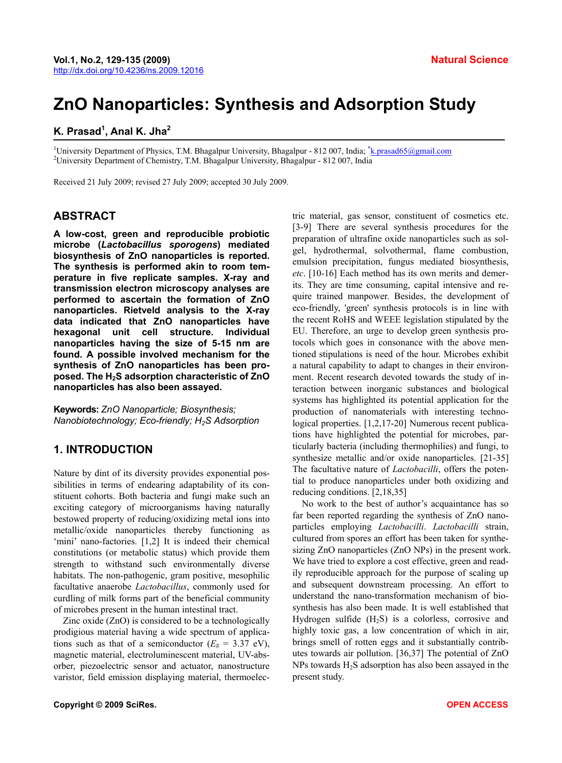# **ZnO Nanoparticles: Synthesis and Adsorption Study**

## **K. Prasad<sup>1</sup> , Anal K. Jha2**

<sup>1</sup>University Department of Physics, T.M. Bhagalpur University, Bhagalpur - 812 007, India; <sup>\*</sup><u>[k.prasad65@gmail.com](mailto:k.prasad65@gmail.com)</u><br><sup>2</sup>University Department of Chemistry, T.M. Phagalpur University, Phagalpur, 812.007, India University Department of Chemistry, T.M. Bhagalpur University, Bhagalpur - 812 007, India

Received 21 July 2009; revised 27 July 2009; accepted 30 July 2009.

#### **ABSTRACT**

**A low-cost, green and reproducible probiotic microbe (***Lactobacillus sporogens***) mediated biosynthesis of ZnO nanoparticles is reported. The synthesis is performed akin to room temperature in five replicate samples. X-ray and transmission electron microscopy analyses are performed to ascertain the formation of ZnO nanoparticles. Rietveld analysis to the X-ray data indicated that ZnO nanoparticles have hexagonal unit cell structure. Individual nanoparticles having the size of 5-15 nm are found. A possible involved mechanism for the synthesis of ZnO nanoparticles has been proposed. The H2S adsorption characteristic of ZnO nanoparticles has also been assayed.** 

**Keywords:** *ZnO Nanoparticle; Biosynthesis; Nanobiotechnology; Eco-friendly; H2S Adsorption*

## **1. INTRODUCTION**

Nature by dint of its diversity provides exponential possibilities in terms of endearing adaptability of its constituent cohorts. Both bacteria and fungi make such an exciting category of microorganisms having naturally bestowed property of reducing/oxidizing metal ions into metallic/oxide nanoparticles thereby functioning as 'mini' nano-factories. [1,2] It is indeed their chemical constitutions (or metabolic status) which provide them strength to withstand such environmentally diverse habitats. The non-pathogenic, gram positive, mesophilic facultative anaerobe *Lactobacillus*, commonly used for curdling of milk forms part of the beneficial community of microbes present in the human intestinal tract.

Zinc oxide (ZnO) is considered to be a technologically prodigious material having a wide spectrum of applications such as that of a semiconductor  $(E_g = 3.37 \text{ eV})$ , magnetic material, electroluminescent material, UV-absorber, piezoelectric sensor and actuator, nanostructure varistor, field emission displaying material, thermoelectric material, gas sensor, constituent of cosmetics etc. [3-9] There are several synthesis procedures for the preparation of ultrafine oxide nanoparticles such as solgel, hydrothermal, solvothermal, flame combustion, emulsion precipitation, fungus mediated biosynthesis, *etc*. [10-16] Each method has its own merits and demerits. They are time consuming, capital intensive and require trained manpower. Besides, the development of eco-friendly, 'green' synthesis protocols is in line with the recent RoHS and WEEE legislation stipulated by the EU. Therefore, an urge to develop green synthesis protocols which goes in consonance with the above mentioned stipulations is need of the hour. Microbes exhibit a natural capability to adapt to changes in their environment. Recent research devoted towards the study of interaction between inorganic substances and biological systems has highlighted its potential application for the production of nanomaterials with interesting technological properties. [1,2,17-20] Numerous recent publications have highlighted the potential for microbes, particularly bacteria (including thermophilies) and fungi, to synthesize metallic and/or oxide nanoparticles. [21-35] The facultative nature of *Lactobacilli*, offers the potential to produce nanoparticles under both oxidizing and reducing conditions. [2,18,35]

No work to the best of author's acquaintance has so far been reported regarding the synthesis of ZnO nanoparticles employing *Lactobacilli*. *Lactobacilli* strain, cultured from spores an effort has been taken for synthesizing ZnO nanoparticles (ZnO NPs) in the present work. We have tried to explore a cost effective, green and readily reproducible approach for the purpose of scaling up and subsequent downstream processing. An effort to understand the nano-transformation mechanism of biosynthesis has also been made. It is well established that Hydrogen sulfide  $(H_2S)$  is a colorless, corrosive and highly toxic gas, a low concentration of which in air, brings smell of rotten eggs and it substantially contributes towards air pollution. [36,37] The potential of ZnO NPs towards  $H_2S$  adsorption has also been assayed in the present study.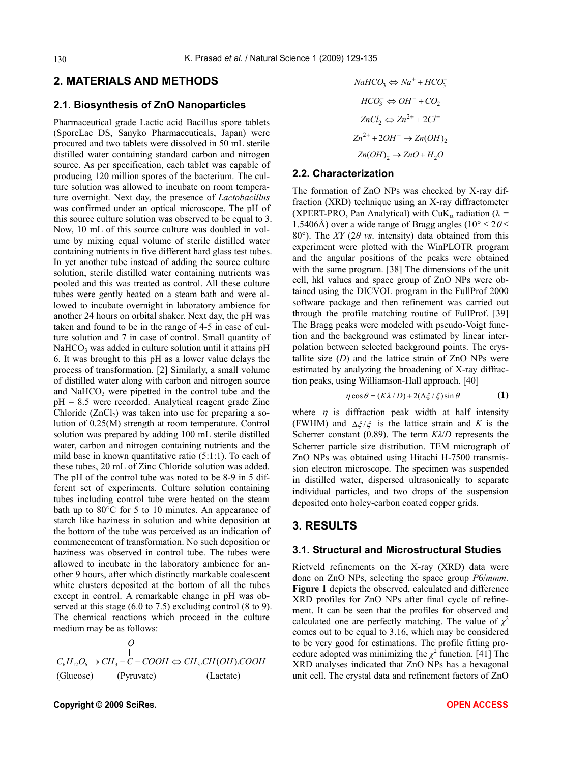### **2. MATERIALS AND METHODS**

#### **2.1. Biosynthesis of ZnO Nanoparticles**

Pharmaceutical grade Lactic acid Bacillus spore tablets (SporeLac DS, Sanyko Pharmaceuticals, Japan) were procured and two tablets were dissolved in 50 mL sterile distilled water containing standard carbon and nitrogen source. As per specification, each tablet was capable of producing 120 million spores of the bacterium. The culture solution was allowed to incubate on room temperature overnight. Next day, the presence of *Lactobacillus* was confirmed under an optical microscope. The pH of this source culture solution was observed to be equal to 3. Now, 10 mL of this source culture was doubled in volume by mixing equal volume of sterile distilled water containing nutrients in five different hard glass test tubes. In yet another tube instead of adding the source culture solution, sterile distilled water containing nutrients was pooled and this was treated as control. All these culture tubes were gently heated on a steam bath and were allowed to incubate overnight in laboratory ambience for another 24 hours on orbital shaker. Next day, the pH was taken and found to be in the range of 4-5 in case of culture solution and 7 in case of control. Small quantity of  $NAHCO<sub>3</sub>$  was added in culture solution until it attains pH 6. It was brought to this pH as a lower value delays the process of transformation. [2] Similarly, a small volume of distilled water along with carbon and nitrogen source and  $NaHCO<sub>3</sub>$  were pipetted in the control tube and the pH = 8.5 were recorded. Analytical reagent grade Zinc Chloride  $(ZnCl<sub>2</sub>)$  was taken into use for preparing a solution of 0.25(M) strength at room temperature. Control solution was prepared by adding 100 mL sterile distilled water, carbon and nitrogen containing nutrients and the mild base in known quantitative ratio (5:1:1). To each of these tubes, 20 mL of Zinc Chloride solution was added. The pH of the control tube was noted to be 8-9 in 5 different set of experiments. Culture solution containing tubes including control tube were heated on the steam bath up to 80°C for 5 to 10 minutes. An appearance of starch like haziness in solution and white deposition at the bottom of the tube was perceived as an indication of commencement of transformation. No such deposition or haziness was observed in control tube. The tubes were allowed to incubate in the laboratory ambience for another 9 hours, after which distinctly markable coalescent white clusters deposited at the bottom of all the tubes except in control. A remarkable change in pH was observed at this stage (6.0 to 7.5) excluding control (8 to 9). The chemical reactions which proceed in the culture medium may be as follows:

$$
O
$$
  
\n
$$
C_6H_{12}O_6 \rightarrow CH_3-C-COOH \Leftrightarrow CH_3.CH(OH).COOH
$$
  
\n(Glucose) (Pyruvate) (Lactate)

$$
HCO_3^- \Leftrightarrow OH^- + CO_2
$$
  
\n
$$
ZnCl_2 \Leftrightarrow Zn^{2+} + 2Cl^-
$$
  
\n
$$
Zn^{2+} + 2OH^- \rightarrow Zn(OH)_2
$$
  
\n
$$
Zn(OH)_2 \rightarrow ZnO + H_2O
$$

 $NaHCO<sub>3</sub> \Leftrightarrow Na^+ + HCO<sub>3</sub>$ 

*ZCl<sup>-</sup>* 

## **2.2. Characterization**

The formation of ZnO NPs was checked by X-ray diffraction (XRD) technique using an X-ray diffractometer (XPERT-PRO, Pan Analytical) with CuK<sub>a</sub> radiation ( $\lambda$  = 1.5406Å) over a wide range of Bragg angles ( $10^{\circ} \le 2\theta \le$ 80 $^{\circ}$ ). The *XY* (2 $\theta$  *vs.* intensity) data obtained from this experiment were plotted with the WinPLOTR program and the angular positions of the peaks were obtained with the same program. [38] The dimensions of the unit cell, hkl values and space group of ZnO NPs were obtained using the DICVOL program in the FullProf 2000 software package and then refinement was carried out through the profile matching routine of FullProf. [39] The Bragg peaks were modeled with pseudo-Voigt function and the background was estimated by linear interpolation between selected background points. The crystallite size  $(D)$  and the lattice strain of ZnO NPs were estimated by analyzing the broadening of X-ray diffraction peaks, using Williamson-Hall approach. [40]

$$
\eta \cos \theta = (K\lambda/D) + 2(\Delta \xi/\xi) \sin \theta \tag{1}
$$

where  $\eta$  is diffraction peak width at half intensity (FWHM) and  $\Delta \xi/\xi$  is the lattice strain and *K* is the Scherrer constant (0.89). The term *Kλ*/*D* represents the Scherrer particle size distribution. TEM micrograph of ZnO NPs was obtained using Hitachi H-7500 transmission electron microscope. The specimen was suspended in distilled water, dispersed ultrasonically to separate individual particles, and two drops of the suspension deposited onto holey-carbon coated copper grids.

#### **3. RESULTS**

#### **3.1. Structural and Microstructural Studies**

Rietveld refinements on the X-ray (XRD) data were done on ZnO NPs, selecting the space group *P*6/*mmm*. **Figure 1** depicts the observed, calculated and difference XRD profiles for ZnO NPs after final cycle of refinement. It can be seen that the profiles for observed and calculated one are perfectly matching. The value of  $\chi^2$ comes out to be equal to 3.16, which may be considered to be very good for estimations. The profile fitting procedure adopted was minimizing the  $\chi^2$  function. [41] The XRD analyses indicated that ZnO NPs has a hexagonal unit cell. The crystal data and refinement factors of ZnO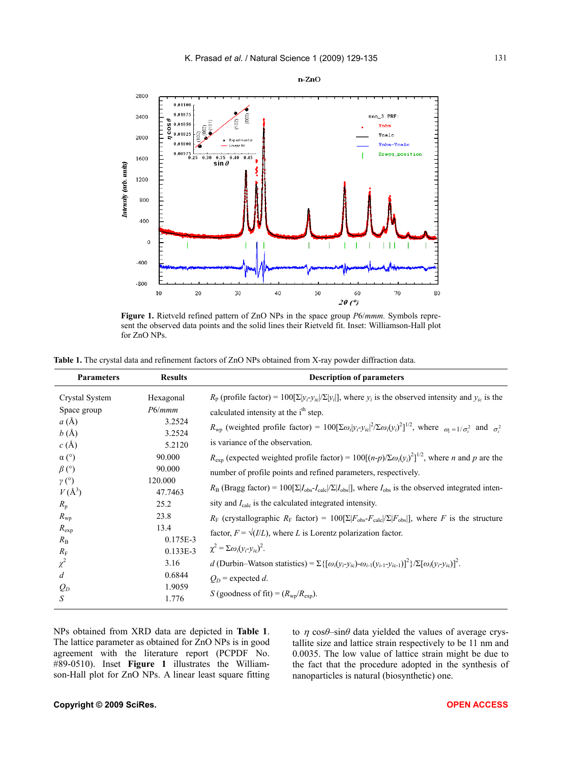

n-ZnO

**Figure 1.** Rietveld refined pattern of ZnO NPs in the space group *P*6/*mmm.* Symbols represent the observed data points and the solid lines their Rietveld fit. Inset: Williamson-Hall plot for ZnO NPs.

| <b>Parameters</b>                                                                                                                                                                                                          | <b>Results</b>                                                                                                                                                            | <b>Description of parameters</b>                                                                                                                                                                                                                                                                                                                                                                                                                                                                                                                                                                                                                                                                                                                                                                                                                                                                                                                                                                                                                                                                                                                                                                                                                                                               |
|----------------------------------------------------------------------------------------------------------------------------------------------------------------------------------------------------------------------------|---------------------------------------------------------------------------------------------------------------------------------------------------------------------------|------------------------------------------------------------------------------------------------------------------------------------------------------------------------------------------------------------------------------------------------------------------------------------------------------------------------------------------------------------------------------------------------------------------------------------------------------------------------------------------------------------------------------------------------------------------------------------------------------------------------------------------------------------------------------------------------------------------------------------------------------------------------------------------------------------------------------------------------------------------------------------------------------------------------------------------------------------------------------------------------------------------------------------------------------------------------------------------------------------------------------------------------------------------------------------------------------------------------------------------------------------------------------------------------|
| Crystal System<br>Space group<br>a(A)<br>b(A)<br>c(A)<br>$\alpha$ (°)<br>$\beta$ (°)<br>$\gamma$ (°)<br>$V(\AA^3)$<br>$R_{\rm p}$<br>$R_{\rm wp}$<br>$R_{\rm exp}$<br>$R_{\rm B}$<br>$R_{\rm F}$<br>$\chi^2$<br>d<br>$Q_D$ | Hexagonal<br>P6/mmm<br>3.2524<br>3.2524<br>5.2120<br>90.000<br>90.000<br>120.000<br>47.7463<br>25.2<br>23.8<br>13.4<br>0.175E-3<br>$0.133E-3$<br>3.16<br>0.6844<br>1.9059 | $R_p$ (profile factor) = 100[ $\Sigma  y_i-y_i ^2$ [ $\Sigma  y_i $ ], where $y_i$ is the observed intensity and $y_i$ is the<br>calculated intensity at the i <sup>th</sup> step.<br>$R_{\rm wp}$ (weighted profile factor) = 100[ $\Sigma \omega_i  y_i - y_i ^2 / \Sigma \omega_i  y_i ^2  ^{1/2}$ , where $\omega_i = 1/\sigma_i^2$ and $\sigma_i^2$<br>is variance of the observation.<br>$R_{\text{exp}}$ (expected weighted profile factor) = 100[(n-p)/ $\sum \omega_i(y_i)^2$ ] <sup>1/2</sup> , where n and p are the<br>number of profile points and refined parameters, respectively.<br>$R_{\rm B}$ (Bragg factor) = 100[ $\Sigma  I_{\rm obs}I_{\rm calc} /\Sigma I_{\rm obs} $ ], where $I_{\rm obs}$ is the observed integrated inten-<br>sity and $I_{\text{calc}}$ is the calculated integrated intensity.<br>$R_F$ (crystallographic $R_F$ factor) = 100[ $\Sigma  F_{obs} - F_{calc} /\Sigma  F_{obs} $ ], where F is the structure<br>factor, $F = \sqrt{I/L}$ , where L is Lorentz polarization factor.<br>$\chi^2 = \Sigma \omega_i (y_i - y_i)$ .<br>d (Durbin–Watson statistics) = $\Sigma \{ [\omega_i(y_i-y_i) - \omega_{i-1}(y_{i-1}-y_{i-1})]^2 \} / \Sigma [\omega_i(y_i-y_i)]^2$ .<br>$Q_D$ = expected d.<br>S (goodness of fit) = $(R_{\rm wp}/R_{\rm exp})$ . |
| $\boldsymbol{S}$                                                                                                                                                                                                           | 1.776                                                                                                                                                                     |                                                                                                                                                                                                                                                                                                                                                                                                                                                                                                                                                                                                                                                                                                                                                                                                                                                                                                                                                                                                                                                                                                                                                                                                                                                                                                |

NPs obtained from XRD data are depicted in **Table 1**. The lattice parameter as obtained for ZnO NPs is in good agreement with the literature report (PCPDF No. #89-0510). Inset **Figure 1** illustrates the Williamson-Hall plot for ZnO NPs. A linear least square fitting

to  $\eta$  cos $\theta$ –sin $\theta$  data yielded the values of average crystallite size and lattice strain respectively to be 11 nm and 0.0035. The low value of lattice strain might be due to the fact that the procedure adopted in the synthesis of nanoparticles is natural (biosynthetic) one.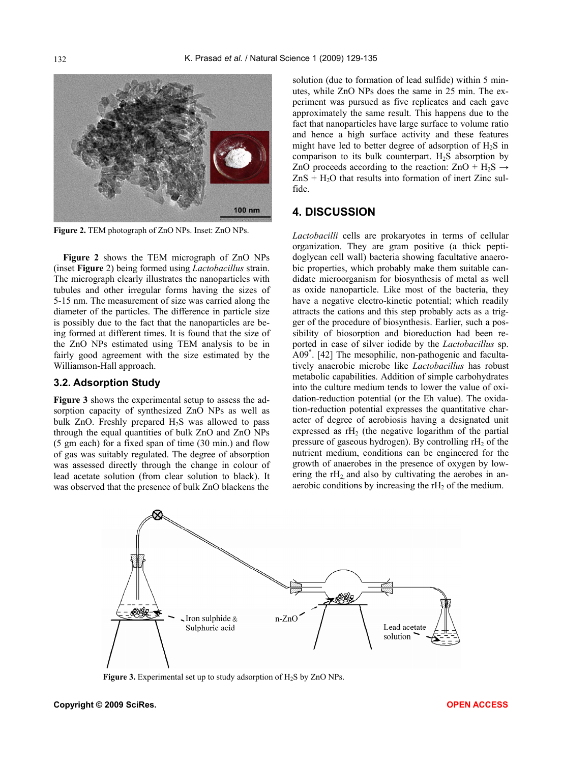

**Figure 2.** TEM photograph of ZnO NPs. Inset: ZnO NPs.

**Figure 2** shows the TEM micrograph of ZnO NPs (inset **Figure** 2) being formed using *Lactobacillus* strain. The micrograph clearly illustrates the nanoparticles with tubules and other irregular forms having the sizes of 5-15 nm. The measurement of size was carried along the diameter of the particles. The difference in particle size is possibly due to the fact that the nanoparticles are being formed at different times. It is found that the size of the ZnO NPs estimated using TEM analysis to be in fairly good agreement with the size estimated by the Williamson-Hall approach.

#### **3.2. Adsorption Study**

**Figure 3** shows the experimental setup to assess the adsorption capacity of synthesized ZnO NPs as well as bulk ZnO. Freshly prepared  $H_2S$  was allowed to pass through the equal quantities of bulk ZnO and ZnO NPs (5 gm each) for a fixed span of time (30 min.) and flow of gas was suitably regulated. The degree of absorption was assessed directly through the change in colour of lead acetate solution (from clear solution to black). It was observed that the presence of bulk ZnO blackens the

solution (due to formation of lead sulfide) within 5 minutes, while ZnO NPs does the same in 25 min. The experiment was pursued as five replicates and each gave approximately the same result. This happens due to the fact that nanoparticles have large surface to volume ratio and hence a high surface activity and these features might have led to better degree of adsorption of  $H_2S$  in comparison to its bulk counterpart.  $H_2S$  absorption by ZnO proceeds according to the reaction:  $ZnO + H_2S \rightarrow$  $ZnS + H<sub>2</sub>O$  that results into formation of inert Zinc sulfide.

#### **4. DISCUSSION**

*Lactobacilli* cells are prokaryotes in terms of cellular organization. They are gram positive (a thick peptidoglycan cell wall) bacteria showing facultative anaerobic properties, which probably make them suitable candidate microorganism for biosynthesis of metal as well as oxide nanoparticle. Like most of the bacteria, they have a negative electro-kinetic potential; which readily attracts the cations and this step probably acts as a trigger of the procedure of biosynthesis. Earlier, such a possibility of biosorption and bioreduction had been reported in case of silver iodide by the *Lactobacillus* sp. A09\* . [42] The mesophilic, non-pathogenic and facultatively anaerobic microbe like *Lactobacillus* has robust metabolic capabilities. Addition of simple carbohydrates into the culture medium tends to lower the value of oxidation-reduction potential (or the Eh value). The oxidation-reduction potential expresses the quantitative character of degree of aerobiosis having a designated unit expressed as  $rH_2$  (the negative logarithm of the partial pressure of gaseous hydrogen). By controlling  $rH<sub>2</sub>$  of the nutrient medium, conditions can be engineered for the growth of anaerobes in the presence of oxygen by lowering the  $rH<sub>2</sub>$  and also by cultivating the aerobes in anaerobic conditions by increasing the  $rH<sub>2</sub>$  of the medium.



**Figure 3.** Experimental set up to study adsorption of H<sub>2</sub>S by ZnO NPs.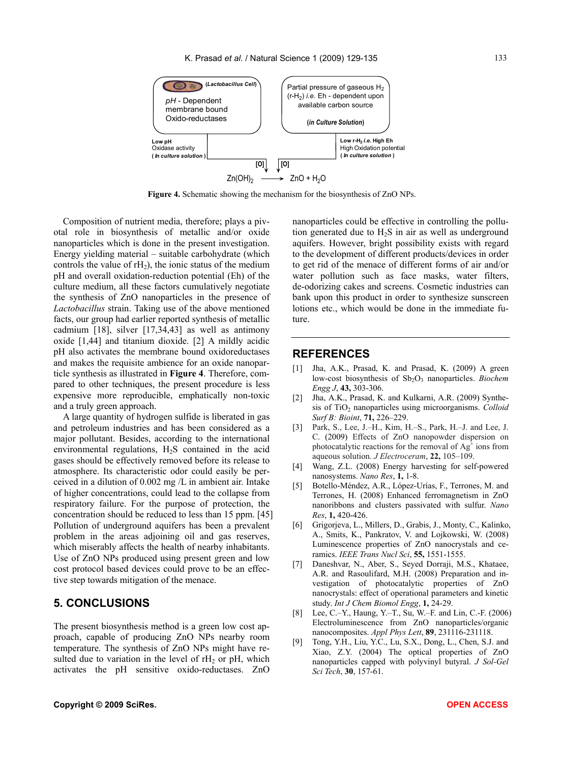

**Figure 4.** Schematic showing the mechanism for the biosynthesis of ZnO NPs.

Composition of nutrient media, therefore; plays a pivotal role in biosynthesis of metallic and/or oxide nanoparticles which is done in the present investigation. Energy yielding material – suitable carbohydrate (which controls the value of  $rH<sub>2</sub>$ ), the ionic status of the medium pH and overall oxidation-reduction potential (Eh) of the culture medium, all these factors cumulatively negotiate the synthesis of ZnO nanoparticles in the presence of *Lactobacillus* strain. Taking use of the above mentioned facts, our group had earlier reported synthesis of metallic cadmium [18], silver [17,34,43] as well as antimony oxide [1,44] and titanium dioxide. [2] A mildly acidic pH also activates the membrane bound oxidoreductases and makes the requisite ambience for an oxide nanoparticle synthesis as illustrated in **Figure 4**. Therefore, compared to other techniques, the present procedure is less expensive more reproducible, emphatically non-toxic and a truly green approach.

A large quantity of hydrogen sulfide is liberated in gas and petroleum industries and has been considered as a major pollutant. Besides, according to the international environmental regulations,  $H_2S$  contained in the acid gases should be effectively removed before its release to atmosphere. Its characteristic odor could easily be perceived in a dilution of 0.002 mg /L in ambient air. Intake of higher concentrations, could lead to the collapse from respiratory failure. For the purpose of protection, the concentration should be reduced to less than 15 ppm. [45] Pollution of underground aquifers has been a prevalent problem in the areas adjoining oil and gas reserves, which miserably affects the health of nearby inhabitants. Use of ZnO NPs produced using present green and low cost protocol based devices could prove to be an effective step towards mitigation of the menace.

### **5. CONCLUSIONS**

The present biosynthesis method is a green low cost approach, capable of producing ZnO NPs nearby room temperature. The synthesis of ZnO NPs might have resulted due to variation in the level of  $rH<sub>2</sub>$  or  $pH$ , which activates the pH sensitive oxido-reductases. ZnO

nanoparticles could be effective in controlling the pollution generated due to  $H_2S$  in air as well as underground aquifers. However, bright possibility exists with regard to the development of different products/devices in order to get rid of the menace of different forms of air and/or water pollution such as face masks, water filters, de-odorizing cakes and screens. Cosmetic industries can bank upon this product in order to synthesize sunscreen lotions etc., which would be done in the immediate future.

#### **REFERENCES**

- [1] Jha, A.K., Prasad, K. and Prasad, K. (2009) A green low-cost biosynthesis of Sb<sub>2</sub>O<sub>3</sub> nanoparticles. *Biochem Engg J*, **43,** 303-306.
- [2] Jha, A.K., Prasad, K. and Kulkarni, A.R. (2009) Synthesis of TiO2 nanoparticles using microorganisms. *Colloid Surf B: Bioint*, **71,** 226–229.
- [3] Park, S., Lee, J.–H., Kim, H.–S., Park, H.–J. and Lee, J. C. (2009) Effects of ZnO nanopowder dispersion on photocatalytic reactions for the removal of  $Ag<sup>4</sup>$  ions from aqueous solution. *J Electroceram*, **22,** 105–109.
- [4] Wang, Z.L. (2008) Energy harvesting for self-powered nanosystems. *Nano Res*, **1,** 1-8.
- [5] Botello-Méndez, A.R., López-Urías, F., Terrones, M. and Terrones, H. (2008) Enhanced ferromagnetism in ZnO nanoribbons and clusters passivated with sulfur. *Nano Res*, **1,** 420-426.
- [6] Grigorjeva, L., Millers, D., Grabis, J., Monty, C., Kalinko, A., Smits, K., Pankratov, V. and Lojkowski, W. (2008) Luminescence properties of ZnO nanocrystals and ceramics. *IEEE Trans Nucl Sci*, **55,** 1551-1555.
- [7] Daneshvar, N., Aber, S., Seyed Dorraji, M.S., Khataee, A.R. and Rasoulifard, M.H. (2008) Preparation and investigation of photocatalytic properties of ZnO nanocrystals: effect of operational parameters and kinetic study. *Int J Chem Biomol Engg*, **1,** 24-29.
- [8] Lee, C.–Y., Haung, Y.–T., Su, W.–F. and Lin, C.-F. (2006) Electroluminescence from ZnO nanoparticles/organic nanocomposites. *Appl Phys Lett*, **89**, 231116-231118.
- [9] Tong, Y.H., Liu, Y.C., Lu, S.X., Dong, L., Chen, S.J. and Xiao, Z.Y. (2004) The optical properties of ZnO nanoparticles capped with polyvinyl butyral. *J Sol-Gel Sci Tech*, **30**, 157-61.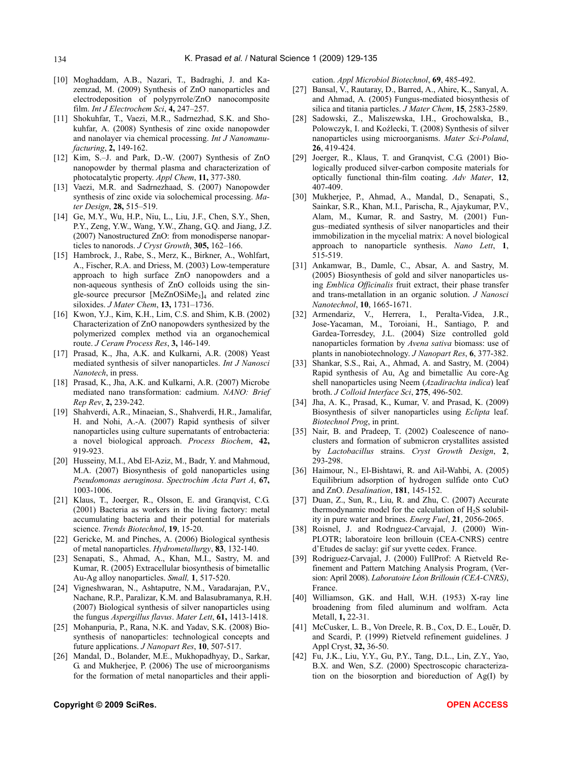- [10] Moghaddam, A.B., Nazari, T., Badraghi, J. and Kazemzad, M. (2009) Synthesis of ZnO nanoparticles and electrodeposition of polypyrrole/ZnO nanocomposite film. *Int J Electrochem Sci*, **4,** 247–257.
- [11] Shokuhfar, T., Vaezi, M.R., Sadrnezhad, S.K. and Shokuhfar, A. (2008) Synthesis of zinc oxide nanopowder and nanolayer via chemical processing. *Int J Nanomanufacturing*, **2,** 149-162.
- [12] Kim, S.–J. and Park, D.-W. (2007) Synthesis of ZnO nanopowder by thermal plasma and characterization of photocatalytic property. *Appl Chem*, **11,** 377-380.
- [13] Vaezi, M.R. and Sadrnezhaad, S. (2007) Nanopowder synthesis of zinc oxide via solochemical processing. *Mater Design*, **28,** 515–519.
- [14] Ge, M.Y., Wu, H.P., Niu, L., Liu, J.F., Chen, S.Y., Shen, P.Y., Zeng, Y.W., Wang, Y.W., Zhang, G.Q. and Jiang, J.Z. (2007) Nanostructured ZnO: from monodisperse nanoparticles to nanorods. *J Cryst Growth*, **305,** 162–166.
- [15] Hambrock, J., Rabe, S., Merz, K., Birkner, A., Wohlfart, A., Fischer, R.A. and Driess, M. (2003) Low-temperature approach to high surface ZnO nanopowders and a non-aqueous synthesis of ZnO colloids using the single-source precursor  $[MeZnOSiMe<sub>3</sub>]$  and related zinc siloxides. *J Mater Chem*, **13,** 1731–1736.
- [16] Kwon, Y.J., Kim, K.H., Lim, C.S. and Shim, K.B. (2002) Characterization of ZnO nanopowders synthesized by the polymerized complex method via an organochemical route. *J Ceram Process Res*, **3,** 146-149.
- [17] Prasad, K., Jha, A.K. and Kulkarni, A.R. (2008) Yeast mediated synthesis of silver nanoparticles. *Int J Nanosci Nanotech*, in press.
- [18] Prasad, K., Jha, A.K. and Kulkarni, A.R. (2007) Microbe mediated nano transformation: cadmium. *NANO: Brief Rep Rev*, **2,** 239-242.
- [19] Shahverdi, A.R., Minaeian, S., Shahverdi, H.R., Jamalifar, H. and Nohi, A.-A. (2007) Rapid synthesis of silver nanoparticles using culture supernatants of entrobacteria: a novel biological approach. *Process Biochem*, **42,** 919-923.
- [20] Husseiny, M.I., Abd El-Aziz, M., Badr, Y. and Mahmoud, M.A. (2007) Biosynthesis of gold nanoparticles using *Pseudomonas aeruginosa*. *Spectrochim Acta Part A*, **67,** 1003-1006.
- [21] Klaus, T., Joerger, R., Olsson, E. and Granqvist, C.G. (2001) Bacteria as workers in the living factory: metal accumulating bacteria and their potential for materials science. *Trends Biotechnol*, **19**, 15-20.
- [22] Gericke, M. and Pinches, A. (2006) Biological synthesis of metal nanoparticles. *Hydrometallurgy*, **83**, 132-140.
- [23] Senapati, S., Ahmad, A., Khan, M.I., Sastry, M. and Kumar, R. (2005) Extracellular biosynthesis of bimetallic Au-Ag alloy nanoparticles. *Small,* **1**, 517-520.
- [24] Vigneshwaran, N., Ashtaputre, N.M., Varadarajan, P.V., Nachane, R.P., Paralizar, K.M. and Balasubramanya, R.H. (2007) Biological synthesis of silver nanoparticles using the fungus *Aspergillus flavus*. *Mater Lett*, **61,** 1413-1418.
- [25] Mohanpuria, P., Rana, N.K. and Yadav, S.K. (2008) Biosynthesis of nanoparticles: technological concepts and future applications. *J Nanopart Res*, **10**, 507-517.
- [26] Mandal, D., Bolander, M.E., Mukhopadhyay, D., Sarkar, G. and Mukherjee, P. (2006) The use of microorganisms for the formation of metal nanoparticles and their appli-

cation. *Appl Microbiol Biotechnol*, **69**, 485-492.

- [27] Bansal, V., Rautaray, D., Barred, A., Ahire, K., Sanyal, A. and Ahmad, A. (2005) Fungus-mediated biosynthesis of silica and titania particles. *J Mater Chem*, **15**, 2583-2589.
- [28] Sadowski, Z., Maliszewska, I.H., Grochowalska, B., Polowczyk, I. and Koźlecki, T. (2008) Synthesis of silver nanoparticles using microorganisms. *Mater Sci-Poland*, **26**, 419-424.
- [29] Joerger, R., Klaus, T. and Granqvist, C.G. (2001) Biologically produced silver-carbon composite materials for optically functional thin-film coating. *Adv Mater*, **12**, 407-409.
- [30] Mukherjee, P., Ahmad, A., Mandal, D., Senapati, S., Sainkar, S.R., Khan, M.I., Parischa, R., Ajaykumar, P.V., Alam, M., Kumar, R. and Sastry, M. (2001) Fungus–mediated synthesis of silver nanoparticles and their immobilization in the mycelial matrix: A novel biological approach to nanoparticle synthesis. *Nano Lett*, **1**, 515-519.
- [31] Ankamwar, B., Damle, C., Absar, A. and Sastry, M. (2005) Biosynthesis of gold and silver nanoparticles using *Emblica Officinalis* fruit extract, their phase transfer and trans-metallation in an organic solution. *J Nanosci Nanotechnol*, **10**, 1665-1671.
- [32] Armendariz, V., Herrera, I., Peralta-Videa, J.R., Jose-Yacaman, M., Toroiani, H., Santiago, P. and Gardea-Torresdey, J.L. (2004) Size controlled gold nanoparticles formation by *Avena sativa* biomass: use of plants in nanobiotechnology. *J Nanopart Res*, **6**, 377-382.
- [33] Shankar, S.S., Rai, A., Ahmad, A. and Sastry, M. (2004) Rapid synthesis of Au, Ag and bimetallic Au core-Ag shell nanoparticles using Neem (*Azadirachta indica*) leaf broth. *J Colloid Interface Sci*, **275**, 496-502.
- [34] Jha, A. K., Prasad, K., Kumar, V. and Prasad, K. (2009) Biosynthesis of silver nanoparticles using *Eclipta* leaf. *Biotechnol Prog*, in print.
- [35] Nair, B. and Pradeep, T. (2002) Coalescence of nanoclusters and formation of submicron crystallites assisted by *Lactobacillus* strains. *Cryst Growth Design*, **2**, 293-298.
- [36] Haimour, N., El-Bishtawi, R. and Ail-Wahbi, A. (2005) Equilibrium adsorption of hydrogen sulfide onto CuO and ZnO. *Desalination*, **181**, 145-152.
- [37] Duan, Z., Sun, R., Liu, R. and Zhu, C. (2007) Accurate thermodynamic model for the calculation of  $H_2S$  solubility in pure water and brines. *Energ Fuel*, **21**, 2056-2065.
- [38] Roisnel, J. and Rodriguez-Carvajal, J. (2000) Win-PLOTR; laboratoire leon brillouin (CEA-CNRS) centre d'Etudes de saclay: gif sur yvette cedex. France.
- [39] Rodriguez-Carvajal, J. (2000) FullProf: A Rietveld Refinement and Pattern Matching Analysis Program, (Version: April 2008). *Laboratoire Léon Brillouin (CEA-CNRS)*, France.
- [40] Williamson, G.K. and Hall, W.H. (1953) X-ray line broadening from filed aluminum and wolfram. Acta Metall, **1,** 22-31.
- [41] McCusker, L. B., Von Dreele, R. B., Cox, D. E., Louër, D. and Scardi, P. (1999) Rietveld refinement guidelines. J Appl Cryst, **32,** 36-50.
- [42] Fu, J.K., Liu, Y.Y., Gu, P.Y., Tang, D.L., Lin, Z.Y., Yao, B.X. and Wen, S.Z. (2000) Spectroscopic characterization on the biosorption and bioreduction of Ag(I) by